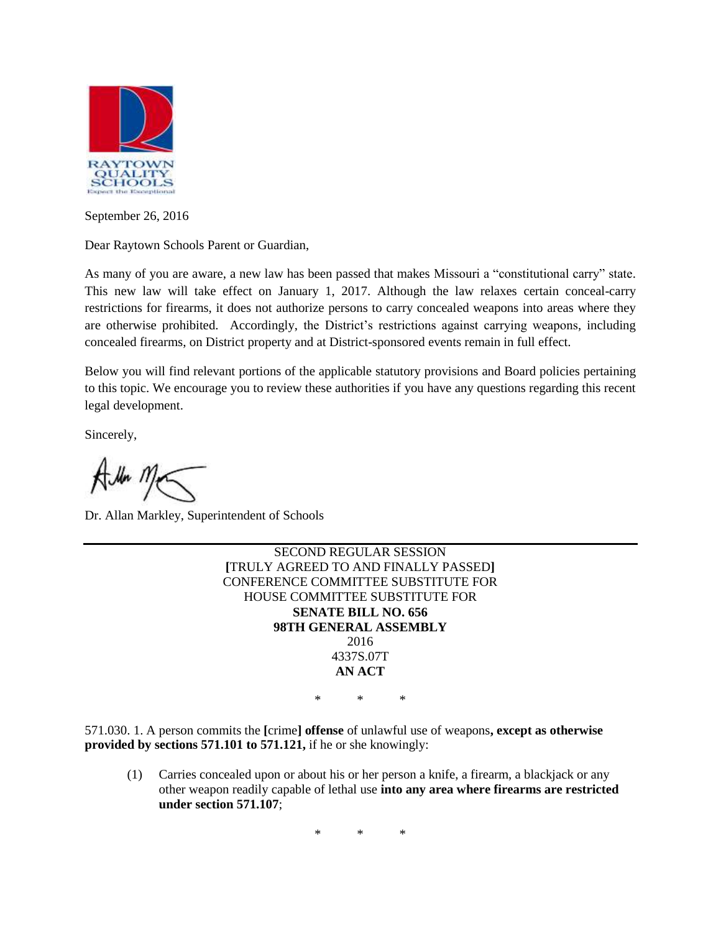

September 26, 2016

Dear Raytown Schools Parent or Guardian,

As many of you are aware, a new law has been passed that makes Missouri a "constitutional carry" state. This new law will take effect on January 1, 2017. Although the law relaxes certain conceal-carry restrictions for firearms, it does not authorize persons to carry concealed weapons into areas where they are otherwise prohibited. Accordingly, the District's restrictions against carrying weapons, including concealed firearms, on District property and at District-sponsored events remain in full effect.

Below you will find relevant portions of the applicable statutory provisions and Board policies pertaining to this topic. We encourage you to review these authorities if you have any questions regarding this recent legal development.

Sincerely,

hlm N

Dr. Allan Markley, Superintendent of Schools

SECOND REGULAR SESSION **[**TRULY AGREED TO AND FINALLY PASSED**]** CONFERENCE COMMITTEE SUBSTITUTE FOR HOUSE COMMITTEE SUBSTITUTE FOR **SENATE BILL NO. 656 98TH GENERAL ASSEMBLY** 2016 4337S.07T **AN ACT**

\* \* \*

571.030. 1. A person commits the **[**crime**] offense** of unlawful use of weapons**, except as otherwise provided by sections 571.101 to 571.121,** if he or she knowingly:

(1) Carries concealed upon or about his or her person a knife, a firearm, a blackjack or any other weapon readily capable of lethal use **into any area where firearms are restricted under section 571.107**;

\* \* \*